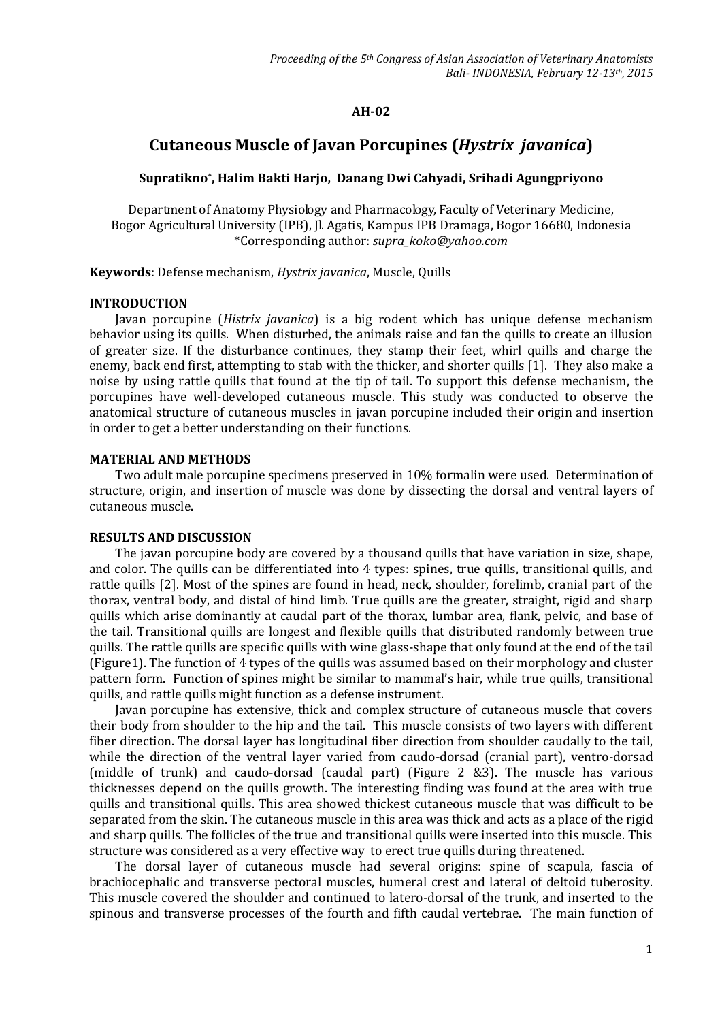## **AH-02**

# **Cutaneous Muscle of Javan Porcupines (***Hystrix javanica***)**

## **Supratikno\* , Halim Bakti Harjo, Danang Dwi Cahyadi, Srihadi Agungpriyono**

Department of Anatomy Physiology and Pharmacology, Faculty of Veterinary Medicine, Bogor Agricultural University (IPB), Jl. Agatis, Kampus IPB Dramaga, Bogor 16680, Indonesia \*Corresponding author: *supra\_koko@yahoo.com*

**Keywords**: Defense mechanism, *Hystrix javanica*, Muscle, Quills

### **INTRODUCTION**

Javan porcupine (*Histrix javanica*) is a big rodent which has unique defense mechanism behavior using its quills. When disturbed, the animals raise and fan the quills to create an illusion of greater size. If the disturbance continues, they stamp their feet, whirl quills and charge the enemy, back end first, attempting to stab with the thicker, and shorter quills [1]. They also make a noise by using rattle quills that found at the tip of tail. To support this defense mechanism, the porcupines have well-developed cutaneous muscle. This study was conducted to observe the anatomical structure of cutaneous muscles in javan porcupine included their origin and insertion in order to get a better understanding on their functions.

#### **MATERIAL AND METHODS**

Two adult male porcupine specimens preserved in 10% formalin were used. Determination of structure, origin, and insertion of muscle was done by dissecting the dorsal and ventral layers of cutaneous muscle.

#### **RESULTS AND DISCUSSION**

The javan porcupine body are covered by a thousand quills that have variation in size, shape, and color. The quills can be differentiated into 4 types: spines, true quills, transitional quills, and rattle quills [2]. Most of the spines are found in head, neck, shoulder, forelimb, cranial part of the thorax, ventral body, and distal of hind limb. True quills are the greater, straight, rigid and sharp quills which arise dominantly at caudal part of the thorax, lumbar area, flank, pelvic, and base of the tail. Transitional quills are longest and flexible quills that distributed randomly between true quills. The rattle quills are specific quills with wine glass-shape that only found at the end of the tail (Figure1). The function of 4 types of the quills was assumed based on their morphology and cluster pattern form. Function of spines might be similar to mammal's hair, while true quills, transitional quills, and rattle quills might function as a defense instrument.

Javan porcupine has extensive, thick and complex structure of cutaneous muscle that covers their body from shoulder to the hip and the tail. This muscle consists of two layers with different fiber direction. The dorsal layer has longitudinal fiber direction from shoulder caudally to the tail, while the direction of the ventral layer varied from caudo-dorsad (cranial part), ventro-dorsad (middle of trunk) and caudo-dorsad (caudal part) (Figure 2 &3). The muscle has various thicknesses depend on the quills growth. The interesting finding was found at the area with true quills and transitional quills. This area showed thickest cutaneous muscle that was difficult to be separated from the skin. The cutaneous muscle in this area was thick and acts as a place of the rigid and sharp quills. The follicles of the true and transitional quills were inserted into this muscle. This structure was considered as a very effective way to erect true quills during threatened.

The dorsal layer of cutaneous muscle had several origins: spine of scapula, fascia of brachiocephalic and transverse pectoral muscles, humeral crest and lateral of deltoid tuberosity. This muscle covered the shoulder and continued to latero-dorsal of the trunk, and inserted to the spinous and transverse processes of the fourth and fifth caudal vertebrae. The main function of